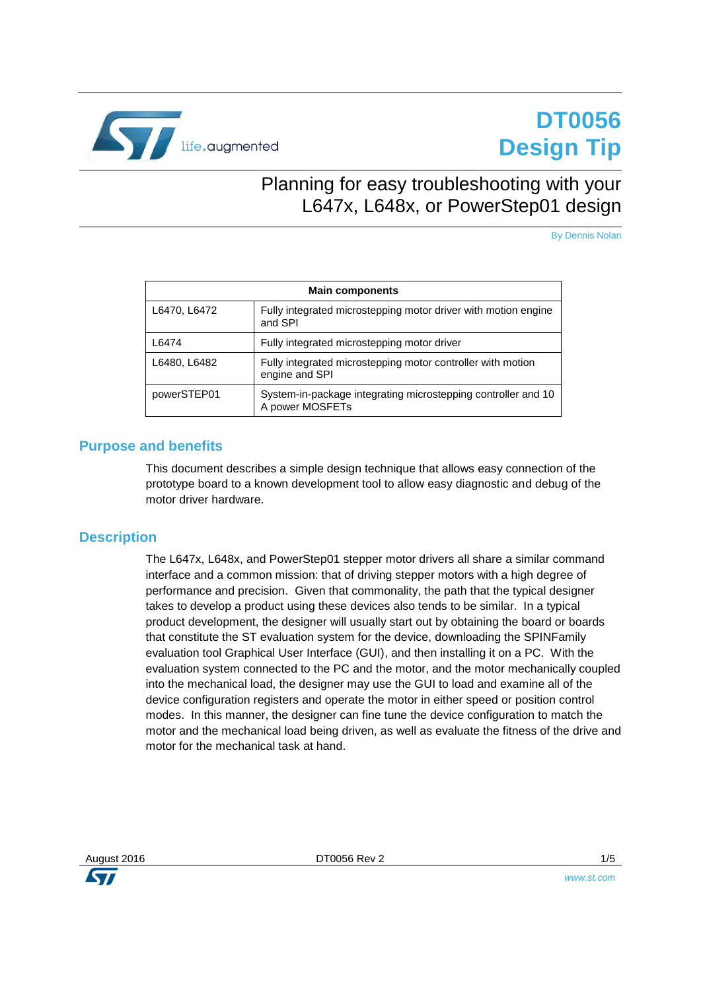

# **DT0056 Design Tip**

## <span id="page-0-0"></span>Planning for easy troubleshooting with your L647x, L648x, or PowerStep01 design

By Dennis Nolan

| <b>Main components</b> |                                                                                  |  |
|------------------------|----------------------------------------------------------------------------------|--|
| L6470, L6472           | Fully integrated microstepping motor driver with motion engine<br>and SPI        |  |
| L6474                  | Fully integrated microstepping motor driver                                      |  |
| L6480, L6482           | Fully integrated microstepping motor controller with motion<br>engine and SPI    |  |
| powerSTEP01            | System-in-package integrating microstepping controller and 10<br>A power MOSFETs |  |

#### **Purpose and benefits**

This document describes a simple design technique that allows easy connection of the prototype board to a known development tool to allow easy diagnostic and debug of the motor driver hardware.

#### **Description**

The L647x, L648x, and PowerStep01 stepper motor drivers all share a similar command interface and a common mission: that of driving stepper motors with a high degree of performance and precision. Given that commonality, the path that the typical designer takes to develop a product using these devices also tends to be similar. In a typical product development, the designer will usually start out by obtaining the board or boards that constitute the ST evaluation system for the device, downloading the SPINFamily evaluation tool Graphical User Interface (GUI), and then installing it on a PC. With the evaluation system connected to the PC and the motor, and the motor mechanically coupled into the mechanical load, the designer may use the GUI to load and examine all of the device configuration registers and operate the motor in either speed or position control modes. In this manner, the designer can fine tune the device configuration to match the motor and the mechanical load being driven, as well as evaluate the fitness of the drive and motor for the mechanical task at hand.

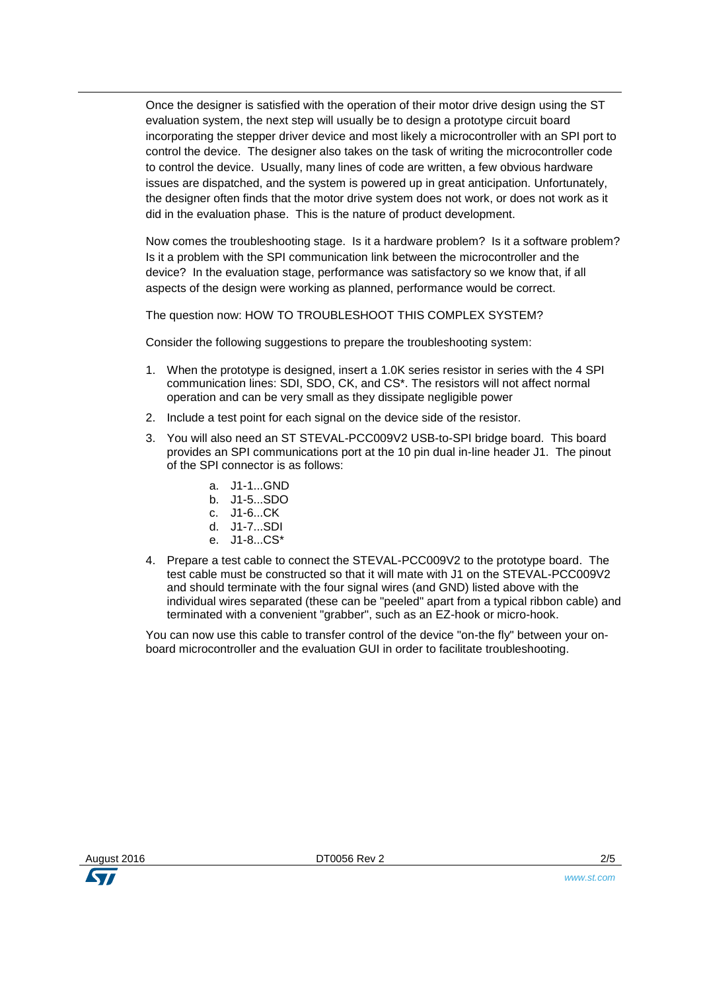Once the designer is satisfied with the operation of their motor drive design using the ST evaluation system, the next step will usually be to design a prototype circuit board incorporating the stepper driver device and most likely a microcontroller with an SPI port to control the device. The designer also takes on the task of writing the microcontroller code to control the device. Usually, many lines of code are written, a few obvious hardware issues are dispatched, and the system is powered up in great anticipation. Unfortunately, the designer often finds that the motor drive system does not work, or does not work as it did in the evaluation phase. This is the nature of product development.

Now comes the troubleshooting stage. Is it a hardware problem? Is it a software problem? Is it a problem with the SPI communication link between the microcontroller and the device? In the evaluation stage, performance was satisfactory so we know that, if all aspects of the design were working as planned, performance would be correct.

The question now: HOW TO TROUBLESHOOT THIS COMPLEX SYSTEM?

Consider the following suggestions to prepare the troubleshooting system:

- 1. When the prototype is designed, insert a 1.0K series resistor in series with the 4 SPI communication lines: SDI, SDO, CK, and CS\*. The resistors will not affect normal operation and can be very small as they dissipate negligible power
- 2. Include a test point for each signal on the device side of the resistor.
- 3. You will also need an ST STEVAL-PCC009V2 USB-to-SPI bridge board. This board provides an SPI communications port at the 10 pin dual in-line header J1. The pinout of the SPI connector is as follows:
	- a .J1-1 GND
	- b. J1-5...SDO
	- c. J1-6...CK
	- d. J1-7...SDI
	- e. J1-8...CS\*
- 4. Prepare a test cable to connect the STEVAL-PCC009V2 to the prototype board. The test cable must be constructed so that it will mate with J1 on the STEVAL-PCC009V2 and should terminate with the four signal wires (and GND) listed above with the individual wires separated (these can be "peeled" apart from a typical ribbon cable) and terminated with a convenient "grabber", such as an EZ-hook or micro-hook.

You can now use this cable to transfer control of the device "on-the fly" between your onboard microcontroller and the evaluation GUI in order to facilitate troubleshooting.



*www.st.com*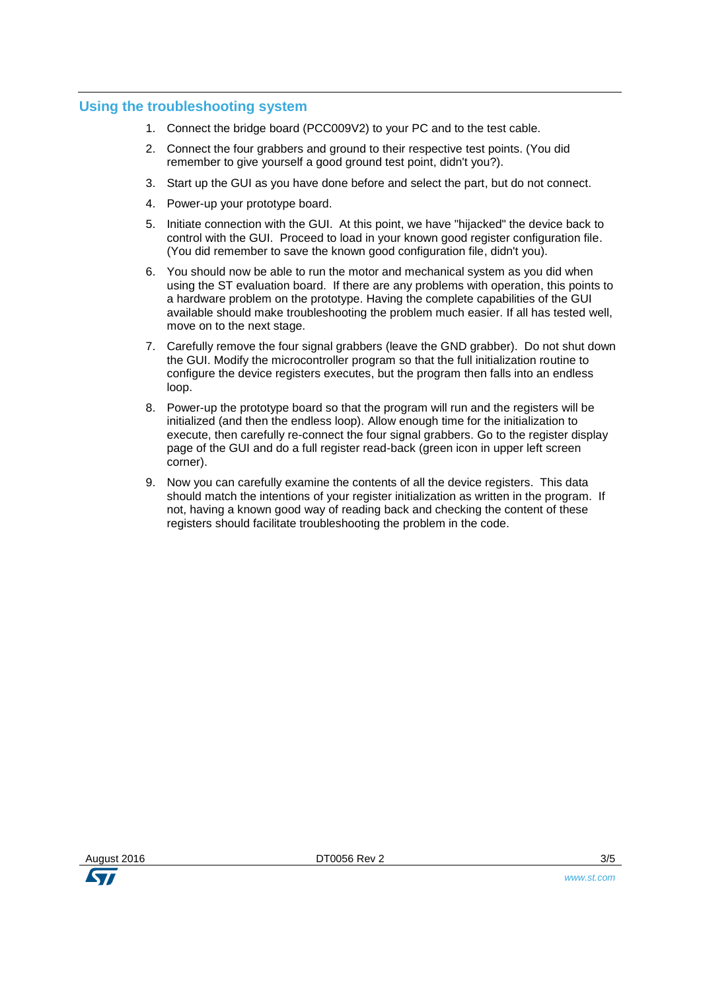#### **Using the troubleshooting system**

- 1. Connect the bridge board (PCC009V2) to your PC and to the test cable.
- 2. Connect the four grabbers and ground to their respective test points. (You did remember to give yourself a good ground test point, didn't you?).
- 3. Start up the GUI as you have done before and select the part, but do not connect.
- 4. Power-up your prototype board.
- 5. Initiate connection with the GUI. At this point, we have "hijacked" the device back to control with the GUI. Proceed to load in your known good register configuration file. (You did remember to save the known good configuration file, didn't you).
- 6. You should now be able to run the motor and mechanical system as you did when using the ST evaluation board. If there are any problems with operation, this points to a hardware problem on the prototype. Having the complete capabilities of the GUI available should make troubleshooting the problem much easier. If all has tested well, move on to the next stage.
- 7. Carefully remove the four signal grabbers (leave the GND grabber). Do not shut down the GUI. Modify the microcontroller program so that the full initialization routine to configure the device registers executes, but the program then falls into an endless loop.
- 8. Power-up the prototype board so that the program will run and the registers will be initialized (and then the endless loop). Allow enough time for the initialization to execute, then carefully re-connect the four signal grabbers. Go to the register display page of the GUI and do a full register read-back (green icon in upper left screen corner).
- 9. Now you can carefully examine the contents of all the device registers. This data should match the intentions of your register initialization as written in the program. If not, having a known good way of reading back and checking the content of these registers should facilitate troubleshooting the problem in the code.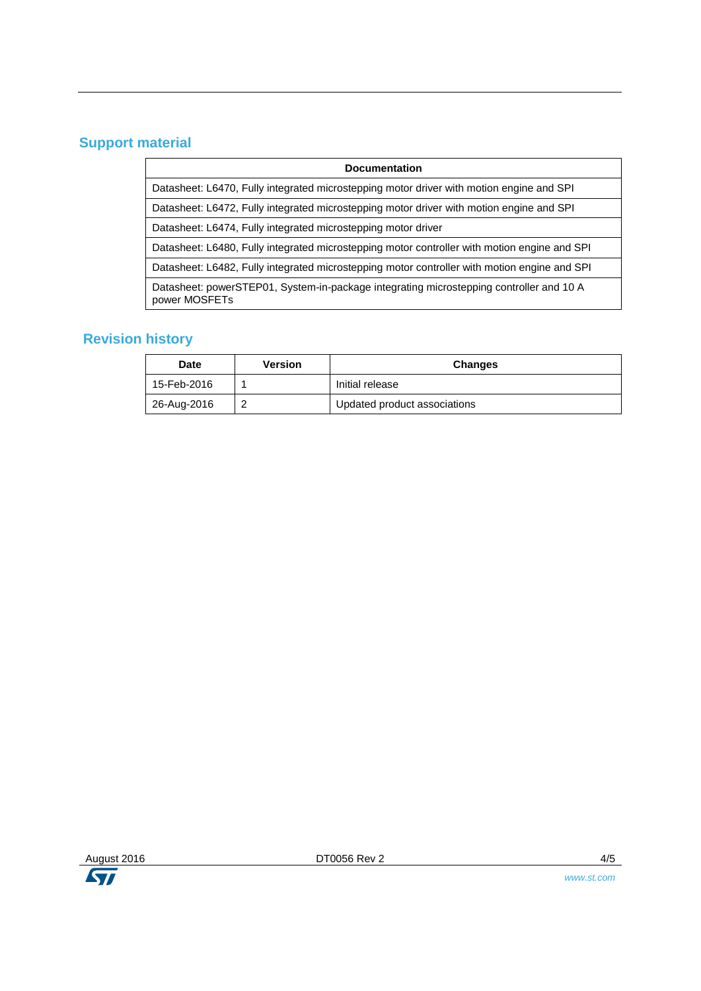## **Support material**

| <b>Documentation</b>                                                                                     |  |  |
|----------------------------------------------------------------------------------------------------------|--|--|
| Datasheet: L6470, Fully integrated microstepping motor driver with motion engine and SPI                 |  |  |
| Datasheet: L6472, Fully integrated microstepping motor driver with motion engine and SPI                 |  |  |
| Datasheet: L6474, Fully integrated microstepping motor driver                                            |  |  |
| Datasheet: L6480, Fully integrated microstepping motor controller with motion engine and SPI             |  |  |
| Datasheet: L6482, Fully integrated microstepping motor controller with motion engine and SPI             |  |  |
| Datasheet: powerSTEP01, System-in-package integrating microstepping controller and 10 A<br>power MOSFETs |  |  |
|                                                                                                          |  |  |

### **Revision history**

| Date        | Version | <b>Changes</b>               |
|-------------|---------|------------------------------|
| 15-Feb-2016 |         | Initial release              |
| 26-Aug-2016 |         | Updated product associations |